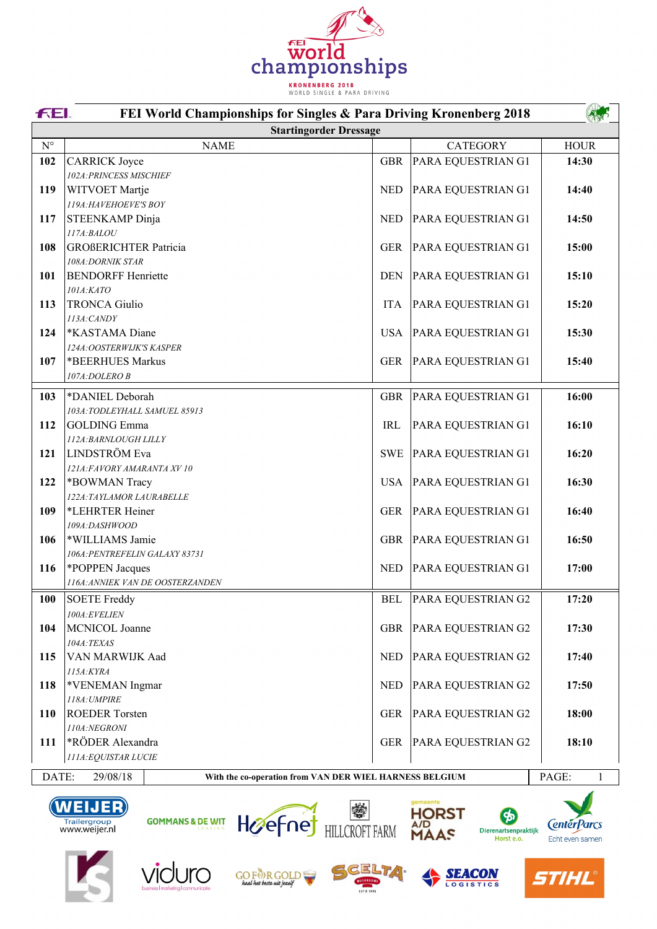

|                    | <b>FEL</b><br>FEI World Championships for Singles & Para Driving Kronenberg 2018           |            |                    |             |  |
|--------------------|--------------------------------------------------------------------------------------------|------------|--------------------|-------------|--|
|                    | <b>Startingorder Dressage</b>                                                              |            |                    |             |  |
| $\mathrm{N}^\circ$ | <b>NAME</b>                                                                                |            | <b>CATEGORY</b>    | <b>HOUR</b> |  |
| 102                | <b>CARRICK Joyce</b>                                                                       | <b>GBR</b> | PARA EQUESTRIAN G1 | 14:30       |  |
|                    | 102A: PRINCESS MISCHIEF                                                                    |            |                    |             |  |
| 119                | WITVOET Martje                                                                             | <b>NED</b> | PARA EQUESTRIAN G1 | 14:40       |  |
|                    | 119A: HAVEHOEVE'S BOY                                                                      |            |                    |             |  |
| 117                | STEENKAMP Dinja                                                                            | <b>NED</b> | PARA EQUESTRIAN G1 | 14:50       |  |
|                    | 117A:BALOU                                                                                 |            |                    |             |  |
| 108                | <b>GROßERICHTER Patricia</b>                                                               | <b>GER</b> | PARA EQUESTRIAN G1 | 15:00       |  |
|                    | 108A: DORNIK STAR                                                                          |            |                    |             |  |
| 101                | <b>BENDORFF Henriette</b>                                                                  | <b>DEN</b> | PARA EQUESTRIAN G1 | 15:10       |  |
|                    | 101A: KATO                                                                                 |            |                    |             |  |
| 113                | <b>TRONCA Giulio</b>                                                                       | <b>ITA</b> | PARA EQUESTRIAN G1 | 15:20       |  |
|                    | 113A: CANDY                                                                                |            |                    |             |  |
| 124                | *KASTAMA Diane                                                                             | <b>USA</b> | PARA EQUESTRIAN G1 | 15:30       |  |
|                    | 124A: OOSTERWIJK'S KASPER                                                                  |            |                    |             |  |
| 107                | *BEERHUES Markus                                                                           | <b>GER</b> | PARA EQUESTRIAN G1 | 15:40       |  |
|                    | 107A: DOLERO B                                                                             |            |                    |             |  |
| 103                | *DANIEL Deborah                                                                            | <b>GBR</b> | PARA EQUESTRIAN G1 | 16:00       |  |
|                    | 103A:TODLEYHALL SAMUEL 85913                                                               |            |                    |             |  |
| 112                | <b>GOLDING Emma</b>                                                                        | <b>IRL</b> | PARA EQUESTRIAN G1 | 16:10       |  |
|                    | 112A: BARNLOUGH LILLY                                                                      |            |                    |             |  |
| 121                | LINDSTRÖM Eva                                                                              | <b>SWE</b> | PARA EQUESTRIAN G1 | 16:20       |  |
|                    | 121A:FAVORY AMARANTA XV 10                                                                 |            |                    |             |  |
| 122                | *BOWMAN Tracy                                                                              | <b>USA</b> | PARA EQUESTRIAN G1 | 16:30       |  |
|                    | 122A: TAYLAMOR LAURABELLE                                                                  |            |                    |             |  |
| 109                | *LEHRTER Heiner                                                                            | <b>GER</b> | PARA EQUESTRIAN G1 | 16:40       |  |
|                    | 109A:DASHWOOD                                                                              |            |                    |             |  |
| 106                | *WILLIAMS Jamie<br>106A: PENTREFELIN GALAXY 83731                                          | <b>GBR</b> | PARA EQUESTRIAN G1 | 16:50       |  |
| 116                | *POPPEN Jacques                                                                            | <b>NED</b> | PARA EQUESTRIAN G1 | 17:00       |  |
|                    | 116A: ANNIEK VAN DE OOSTERZANDEN                                                           |            |                    |             |  |
| 100                |                                                                                            |            |                    |             |  |
|                    | <b>SOETE</b> Freddy<br>100A:EVELIEN                                                        | <b>BEL</b> | PARA EQUESTRIAN G2 | 17:20       |  |
| 104                | MCNICOL Joanne                                                                             | <b>GBR</b> | PARA EQUESTRIAN G2 | 17:30       |  |
|                    | 104A:TEXAS                                                                                 |            |                    |             |  |
| 115                | VAN MARWIJK Aad                                                                            | <b>NED</b> | PARA EQUESTRIAN G2 | 17:40       |  |
|                    | 115A:KYRA                                                                                  |            |                    |             |  |
| 118                | *VENEMAN Ingmar                                                                            | <b>NED</b> | PARA EQUESTRIAN G2 | 17:50       |  |
|                    | 118A: UMPIRE                                                                               |            |                    |             |  |
| 110                | <b>ROEDER Torsten</b>                                                                      | <b>GER</b> | PARA EQUESTRIAN G2 | 18:00       |  |
|                    | 110A:NEGRONI                                                                               |            |                    |             |  |
| 111                | *RÖDER Alexandra                                                                           | <b>GER</b> | PARA EQUESTRIAN G2 | 18:10       |  |
|                    | 111A: EQUISTAR LUCIE                                                                       |            |                    |             |  |
|                    | DATE:<br>29/08/18<br>PAGE:<br>1<br>With the co-operation from VAN DER WIEL HARNESS BELGIUM |            |                    |             |  |





**GOMMANS & DE WIT** 



Hereford HULCROFT FARM





HORST<br>A/D<br>MAAS



**CentérParcs** 

Echt even samen

6

Dierenartsenpraktijk<br>Horst e.o.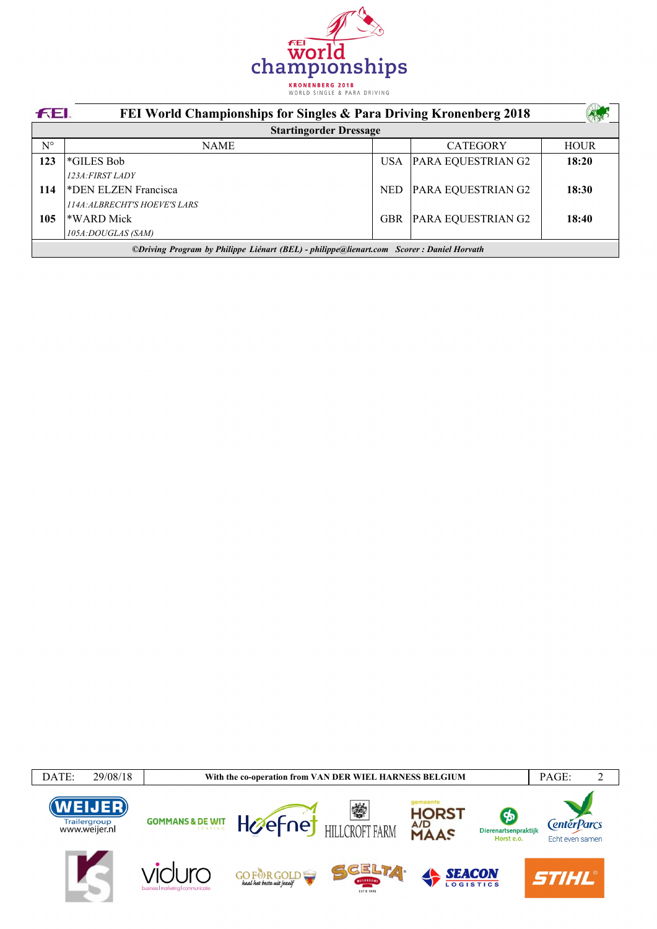

| <b>FEI</b>                                                                               | FEI World Championships for Singles & Para Driving Kronenberg 2018 |            |                    |             |  |  |
|------------------------------------------------------------------------------------------|--------------------------------------------------------------------|------------|--------------------|-------------|--|--|
|                                                                                          | <b>Startingorder Dressage</b>                                      |            |                    |             |  |  |
| $N^{\circ}$                                                                              | <b>NAME</b>                                                        |            | <b>CATEGORY</b>    | <b>HOUR</b> |  |  |
| 123                                                                                      | *GILES Bob                                                         | USA        | PARA EQUESTRIAN G2 | 18:20       |  |  |
|                                                                                          | 123A: FIRST LADY                                                   |            |                    |             |  |  |
| 114                                                                                      | *DEN ELZEN Francisca                                               | <b>NED</b> | PARA EQUESTRIAN G2 | 18:30       |  |  |
|                                                                                          | <b>114A: ALBRECHT'S HOEVE'S LARS</b>                               |            |                    |             |  |  |
| 105                                                                                      | *WARD Mick                                                         | <b>GBR</b> | PARA EQUESTRIAN G2 | 18:40       |  |  |
|                                                                                          | 105A:DOUGLAS (SAM)                                                 |            |                    |             |  |  |
| ©Driving Program by Philippe Liénart (BEL) - philippe@lienart.com Scorer: Daniel Horvath |                                                                    |            |                    |             |  |  |

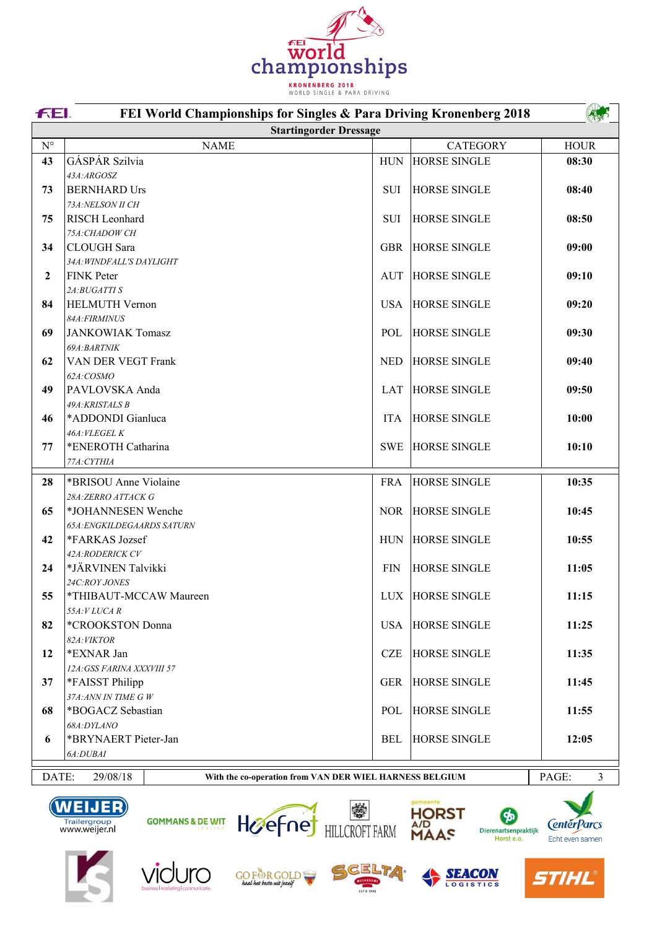

|                    | FEI.<br>FEI World Championships for Singles & Para Driving Kronenberg 2018                 |            |                     |             |  |
|--------------------|--------------------------------------------------------------------------------------------|------------|---------------------|-------------|--|
|                    | <b>Startingorder Dressage</b>                                                              |            |                     |             |  |
| $\mathrm{N}^\circ$ | <b>NAME</b>                                                                                |            | <b>CATEGORY</b>     | <b>HOUR</b> |  |
| 43                 | GÁSPÁR Szilvia                                                                             | <b>HUN</b> | <b>HORSE SINGLE</b> | 08:30       |  |
|                    | 43A:ARGOSZ                                                                                 |            |                     |             |  |
| 73                 | <b>BERNHARD Urs</b>                                                                        | SUI        | <b>HORSE SINGLE</b> | 08:40       |  |
|                    | 73A:NELSON II CH                                                                           |            |                     |             |  |
| 75                 | <b>RISCH</b> Leonhard                                                                      | SUI        | <b>HORSE SINGLE</b> | 08:50       |  |
|                    | 75A: CHADOW CH                                                                             |            |                     |             |  |
| 34                 | CLOUGH Sara                                                                                | <b>GBR</b> | <b>HORSE SINGLE</b> | 09:00       |  |
|                    | 34A: WINDFALL'S DAYLIGHT                                                                   |            |                     |             |  |
| $\mathbf{2}$       | <b>FINK Peter</b>                                                                          | <b>AUT</b> | <b>HORSE SINGLE</b> | 09:10       |  |
|                    | 2A:BUGATTI S                                                                               |            |                     |             |  |
| 84                 | <b>HELMUTH Vernon</b>                                                                      | <b>USA</b> | <b>HORSE SINGLE</b> | 09:20       |  |
|                    | 84A: FIRMINUS                                                                              |            |                     |             |  |
| 69                 | <b>JANKOWIAK Tomasz</b><br>69A:BARTNIK                                                     | POL        | <b>HORSE SINGLE</b> | 09:30       |  |
| 62                 | VAN DER VEGT Frank                                                                         | <b>NED</b> | <b>HORSE SINGLE</b> | 09:40       |  |
|                    | 62A:COSMO                                                                                  |            |                     |             |  |
| 49                 | PAVLOVSKA Anda                                                                             | <b>LAT</b> | <b>HORSE SINGLE</b> | 09:50       |  |
|                    | 49A: KRISTALS B                                                                            |            |                     |             |  |
| 46                 | *ADDONDI Gianluca                                                                          | <b>ITA</b> | <b>HORSE SINGLE</b> | 10:00       |  |
|                    | 46A: VLEGEL K                                                                              |            |                     |             |  |
| 77                 | *ENEROTH Catharina                                                                         | <b>SWE</b> | <b>HORSE SINGLE</b> | 10:10       |  |
|                    | 77A: CYTHIA                                                                                |            |                     |             |  |
| 28                 | *BRISOU Anne Violaine                                                                      | <b>FRA</b> | <b>HORSE SINGLE</b> | 10:35       |  |
|                    | 28A:ZERRO ATTACK G                                                                         |            |                     |             |  |
| 65                 | *JOHANNESEN Wenche                                                                         | <b>NOR</b> | <b>HORSE SINGLE</b> | 10:45       |  |
|                    | <b>65A:ENGKILDEGAARDS SATURN</b>                                                           |            |                     |             |  |
| 42                 | *FARKAS Jozsef                                                                             | <b>HUN</b> | <b>HORSE SINGLE</b> | 10:55       |  |
|                    | 42A:RODERICK CV                                                                            |            |                     |             |  |
| 24                 | *JÄRVINEN Talvikki                                                                         | <b>FIN</b> | <b>HORSE SINGLE</b> | 11:05       |  |
|                    | 24C:ROY JONES                                                                              |            |                     |             |  |
| 55                 | *THIBAUT-MCCAW Maureen                                                                     |            | LUX HORSE SINGLE    | 11:15       |  |
|                    | $55A:VLUCA$ $R$                                                                            |            |                     |             |  |
| 82                 | *CROOKSTON Donna                                                                           | <b>USA</b> | <b>HORSE SINGLE</b> | 11:25       |  |
| 12                 | 82A: VIKTOR<br>*EXNAR Jan                                                                  | <b>CZE</b> | <b>HORSE SINGLE</b> | 11:35       |  |
|                    | 12A: GSS FARINA XXXVIII 57                                                                 |            |                     |             |  |
| 37                 | *FAISST Philipp                                                                            | <b>GER</b> | <b>HORSE SINGLE</b> | 11:45       |  |
|                    | 37A:ANN IN TIME G W                                                                        |            |                     |             |  |
| 68                 | *BOGACZ Sebastian                                                                          | POL        | <b>HORSE SINGLE</b> | 11:55       |  |
|                    | 68A:DYLANO                                                                                 |            |                     |             |  |
| 6                  | *BRYNAERT Pieter-Jan                                                                       | <b>BEL</b> | <b>HORSE SINGLE</b> | 12:05       |  |
|                    | 6A:DUBAI                                                                                   |            |                     |             |  |
|                    |                                                                                            |            |                     |             |  |
|                    | PAGE:<br>DATE:<br>29/08/18<br>3<br>With the co-operation from VAN DER WIEL HARNESS BELGIUM |            |                     |             |  |



WEIJER<br>Trailergroup<br>www.weijer.nl





















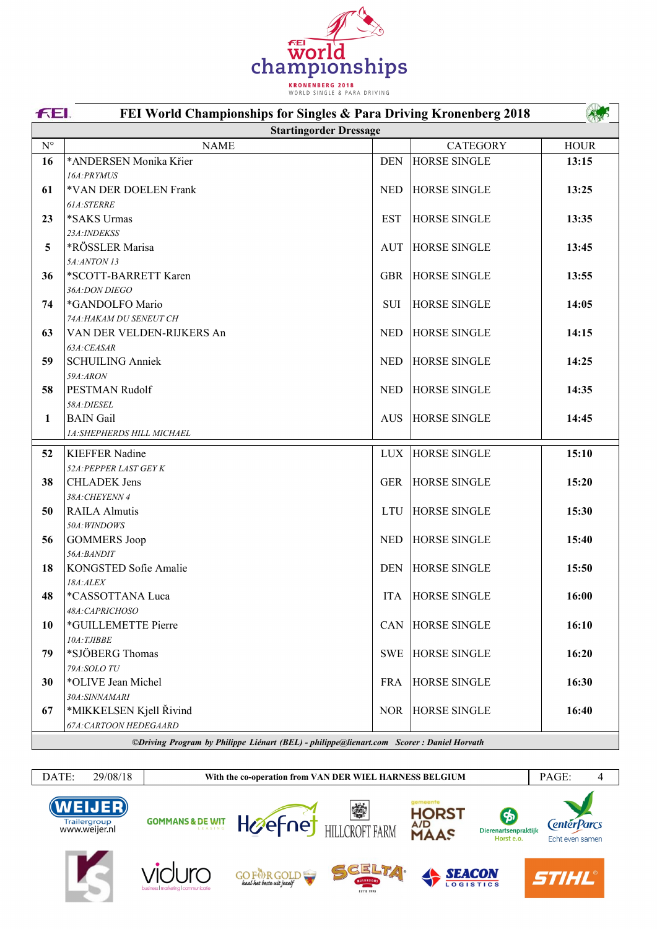

|                    | FEI.<br>FEI World Championships for Singles & Para Driving Kronenberg 2018                |            |                     |             |  |  |
|--------------------|-------------------------------------------------------------------------------------------|------------|---------------------|-------------|--|--|
|                    | <b>Startingorder Dressage</b>                                                             |            |                     |             |  |  |
| $\mathrm{N}^\circ$ | <b>NAME</b>                                                                               |            | <b>CATEGORY</b>     | <b>HOUR</b> |  |  |
| 16                 | *ANDERSEN Monika Křier                                                                    | <b>DEN</b> | <b>HORSE SINGLE</b> | 13:15       |  |  |
|                    | 16A:PRYMUS                                                                                |            |                     |             |  |  |
| 61                 | *VAN DER DOELEN Frank                                                                     | <b>NED</b> | <b>HORSE SINGLE</b> | 13:25       |  |  |
|                    | 61A:STERRE                                                                                |            |                     |             |  |  |
| 23                 | *SAKS Urmas                                                                               | <b>EST</b> | <b>HORSE SINGLE</b> | 13:35       |  |  |
|                    | 23A: INDEKSS                                                                              |            |                     |             |  |  |
| 5                  | *RÖSSLER Marisa                                                                           | <b>AUT</b> | <b>HORSE SINGLE</b> | 13:45       |  |  |
|                    | 5A:ANTON 13                                                                               |            |                     |             |  |  |
| 36                 | *SCOTT-BARRETT Karen                                                                      | <b>GBR</b> | <b>HORSE SINGLE</b> | 13:55       |  |  |
|                    | 36A:DON DIEGO                                                                             |            |                     |             |  |  |
| 74                 | *GANDOLFO Mario                                                                           | SUI        | <b>HORSE SINGLE</b> | 14:05       |  |  |
|                    | 74A: HAKAM DU SENEUT CH                                                                   |            |                     |             |  |  |
| 63                 | VAN DER VELDEN-RIJKERS An                                                                 | <b>NED</b> | <b>HORSE SINGLE</b> | 14:15       |  |  |
|                    | 63A:CEASAR                                                                                |            |                     |             |  |  |
| 59                 | <b>SCHUILING Anniek</b>                                                                   | <b>NED</b> | <b>HORSE SINGLE</b> | 14:25       |  |  |
|                    | 59A:ARON                                                                                  |            |                     |             |  |  |
| 58                 | PESTMAN Rudolf                                                                            | <b>NED</b> | <b>HORSE SINGLE</b> | 14:35       |  |  |
|                    | 58A:DIESEL                                                                                |            |                     |             |  |  |
| 1                  | <b>BAIN</b> Gail                                                                          | <b>AUS</b> | <b>HORSE SINGLE</b> | 14:45       |  |  |
|                    | 1A:SHEPHERDS HILL MICHAEL                                                                 |            |                     |             |  |  |
| 52                 | <b>KIEFFER Nadine</b>                                                                     | <b>LUX</b> | <b>HORSE SINGLE</b> | 15:10       |  |  |
|                    | 52A: PEPPER LAST GEY K                                                                    |            |                     |             |  |  |
| 38                 | <b>CHLADEK</b> Jens                                                                       | <b>GER</b> | <b>HORSE SINGLE</b> | 15:20       |  |  |
|                    | 38A: CHEYENN 4                                                                            |            |                     |             |  |  |
| 50                 | <b>RAILA Almutis</b>                                                                      | <b>LTU</b> | <b>HORSE SINGLE</b> | 15:30       |  |  |
|                    | 50A: WINDOWS                                                                              |            |                     |             |  |  |
| 56                 | <b>GOMMERS</b> Joop                                                                       | <b>NED</b> | <b>HORSE SINGLE</b> | 15:40       |  |  |
|                    | 56A:BANDIT                                                                                |            |                     |             |  |  |
| 18                 | KONGSTED Sofie Amalie                                                                     | <b>DEN</b> | <b>HORSE SINGLE</b> | 15:50       |  |  |
|                    | 18A:ALEX                                                                                  |            |                     |             |  |  |
| 48                 | *CASSOTTANA Luca                                                                          | <b>ITA</b> | <b>HORSE SINGLE</b> | 16:00       |  |  |
|                    | 48A:CAPRICHOSO                                                                            |            |                     |             |  |  |
| 10                 | *GUILLEMETTE Pierre                                                                       | <b>CAN</b> | <b>HORSE SINGLE</b> | 16:10       |  |  |
|                    | $10A$ : TJIBBE                                                                            |            |                     |             |  |  |
| 79                 | *SJÖBERG Thomas                                                                           | <b>SWE</b> | <b>HORSE SINGLE</b> | 16:20       |  |  |
|                    | 79A:SOLO TU                                                                               |            |                     |             |  |  |
| 30                 | *OLIVE Jean Michel                                                                        | <b>FRA</b> | <b>HORSE SINGLE</b> | 16:30       |  |  |
|                    | 30A:SINNAMARI                                                                             |            |                     |             |  |  |
| 67                 | *MIKKELSEN Kjell Řivind                                                                   | NOR.       | <b>HORSE SINGLE</b> | 16:40       |  |  |
|                    | 67A: CARTOON HEDEGAARD                                                                    |            |                     |             |  |  |
|                    | ©Driving Program by Philippe Liénart (REL) - philippe@lienart.com Scorer : Daniel Horvath |            |                     |             |  |  |

*©Driving Program by Philippe LiÈnart (BEL) - philippe@lienart.com Scorer : Daniel Horvath*

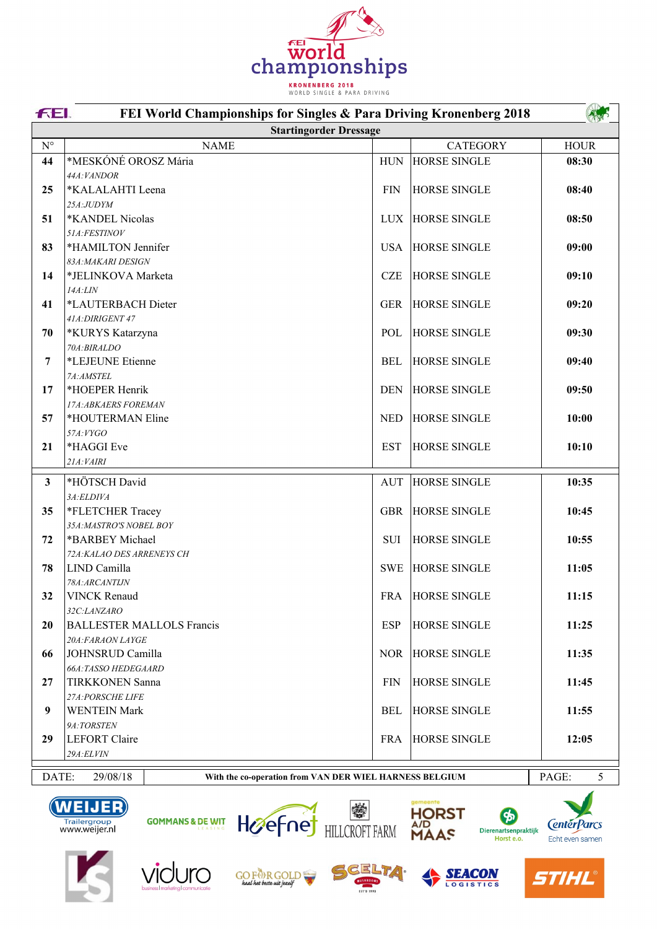

|                                                                              | <b>FEL</b><br>FEI World Championships for Singles & Para Driving Kronenberg 2018 |             |                     |             |  |
|------------------------------------------------------------------------------|----------------------------------------------------------------------------------|-------------|---------------------|-------------|--|
|                                                                              | <b>Startingorder Dressage</b>                                                    |             |                     |             |  |
| $N^{\circ}$                                                                  | <b>NAME</b>                                                                      |             | <b>CATEGORY</b>     | <b>HOUR</b> |  |
| 44                                                                           | *MESKÓNÉ OROSZ Mária                                                             | ${\rm HUN}$ | <b>HORSE SINGLE</b> | 08:30       |  |
|                                                                              | 44A: VANDOR                                                                      |             |                     |             |  |
| 25                                                                           | *KALALAHTI Leena                                                                 | <b>FIN</b>  | <b>HORSE SINGLE</b> | 08:40       |  |
|                                                                              | 25A:JUDYM                                                                        |             |                     |             |  |
| 51                                                                           | *KANDEL Nicolas                                                                  | <b>LUX</b>  | <b>HORSE SINGLE</b> | 08:50       |  |
|                                                                              | 51A:FESTINOV                                                                     |             |                     |             |  |
| 83                                                                           | *HAMILTON Jennifer<br>83A: MAKARI DESIGN                                         | <b>USA</b>  | <b>HORSE SINGLE</b> | 09:00       |  |
| 14                                                                           | *JELINKOVA Marketa                                                               | <b>CZE</b>  | <b>HORSE SINGLE</b> | 09:10       |  |
|                                                                              | 14A:LIN                                                                          |             |                     |             |  |
| 41                                                                           | *LAUTERBACH Dieter                                                               | <b>GER</b>  | <b>HORSE SINGLE</b> | 09:20       |  |
|                                                                              | 41A: DIRIGENT 47                                                                 |             |                     |             |  |
| 70                                                                           | *KURYS Katarzyna                                                                 | POL         | <b>HORSE SINGLE</b> | 09:30       |  |
|                                                                              | 70A:BIRALDO                                                                      |             |                     |             |  |
| 7                                                                            | *LEJEUNE Etienne                                                                 | <b>BEL</b>  | <b>HORSE SINGLE</b> | 09:40       |  |
|                                                                              | 7A:AMSTEL                                                                        |             |                     |             |  |
| 17                                                                           | *HOEPER Henrik                                                                   | <b>DEN</b>  | <b>HORSE SINGLE</b> | 09:50       |  |
|                                                                              | 17A: ABKAERS FOREMAN                                                             |             |                     |             |  |
| 57                                                                           | *HOUTERMAN Eline                                                                 | <b>NED</b>  | <b>HORSE SINGLE</b> | 10:00       |  |
|                                                                              | 57A:VYGO                                                                         |             |                     |             |  |
| 21                                                                           | *HAGGI Eve                                                                       | <b>EST</b>  | <b>HORSE SINGLE</b> | 10:10       |  |
|                                                                              | 21A: VAIRI                                                                       |             |                     |             |  |
| $\overline{\mathbf{3}}$                                                      | *HÖTSCH David                                                                    | <b>AUT</b>  | <b>HORSE SINGLE</b> | 10:35       |  |
|                                                                              | 3A:ELDIVA                                                                        |             |                     |             |  |
| 35                                                                           | *FLETCHER Tracey                                                                 | <b>GBR</b>  | <b>HORSE SINGLE</b> | 10:45       |  |
|                                                                              | 35A:MASTRO'S NOBEL BOY                                                           |             |                     |             |  |
| 72                                                                           | *BARBEY Michael                                                                  | <b>SUI</b>  | <b>HORSE SINGLE</b> | 10:55       |  |
|                                                                              | 72A: KALAO DES ARRENEYS CH                                                       |             |                     |             |  |
| 78                                                                           | LIND Camilla                                                                     | <b>SWE</b>  | <b>HORSE SINGLE</b> | 11:05       |  |
|                                                                              | 78A:ARCANTIJN                                                                    |             |                     |             |  |
| 32                                                                           | <b>VINCK Renaud</b>                                                              | <b>FRA</b>  | <b>HORSE SINGLE</b> | 11:15       |  |
|                                                                              | 32C:LANZARO                                                                      |             |                     |             |  |
| 20                                                                           | <b>BALLESTER MALLOLS Francis</b>                                                 | <b>ESP</b>  | <b>HORSE SINGLE</b> | 11:25       |  |
|                                                                              | 20A:FARAON LAYGE                                                                 |             |                     |             |  |
| 66                                                                           | JOHNSRUD Camilla                                                                 | <b>NOR</b>  | <b>HORSE SINGLE</b> | 11:35       |  |
| 27                                                                           | 66A:TASSO HEDEGAARD                                                              | <b>FIN</b>  | <b>HORSE SINGLE</b> | 11:45       |  |
|                                                                              | <b>TIRKKONEN Sanna</b><br>27A: PORSCHE LIFE                                      |             |                     |             |  |
| 9                                                                            | <b>WENTEIN Mark</b>                                                              | <b>BEL</b>  | <b>HORSE SINGLE</b> | 11:55       |  |
|                                                                              | 9A:TORSTEN                                                                       |             |                     |             |  |
| 29                                                                           | <b>LEFORT</b> Claire                                                             | <b>FRA</b>  | <b>HORSE SINGLE</b> | 12:05       |  |
|                                                                              | 29A:ELVIN                                                                        |             |                     |             |  |
|                                                                              |                                                                                  |             |                     |             |  |
| DATE:<br>29/08/18<br>With the co-operation from VAN DER WIEL HARNESS BELGIUM |                                                                                  |             |                     | PAGE:<br>5  |  |